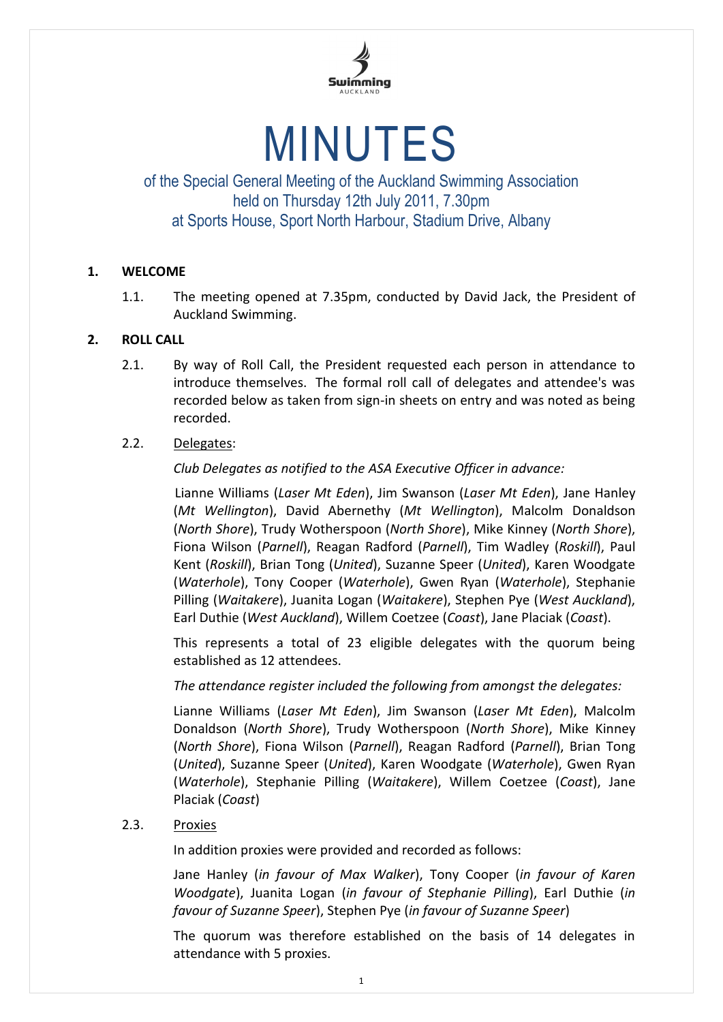

# MINUTES

of the Special General Meeting of the Auckland Swimming Association held on Thursday 12th July 2011, 7.30pm at Sports House, Sport North Harbour, Stadium Drive, Albany

## **1. WELCOME**

1.1. The meeting opened at 7.35pm, conducted by David Jack, the President of Auckland Swimming.

## **2. ROLL CALL**

2.1. By way of Roll Call, the President requested each person in attendance to introduce themselves. The formal roll call of delegates and attendee's was recorded below as taken from sign-in sheets on entry and was noted as being recorded.

## 2.2. Delegates:

*Club Delegates as notified to the ASA Executive Officer in advance:*

Lianne Williams (*Laser Mt Eden*), Jim Swanson (*Laser Mt Eden*), Jane Hanley (*Mt Wellington*), David Abernethy (*Mt Wellington*), Malcolm Donaldson (*North Shore*), Trudy Wotherspoon (*North Shore*), Mike Kinney (*North Shore*), Fiona Wilson (*Parnell*), Reagan Radford (*Parnell*), Tim Wadley (*Roskill*), Paul Kent (*Roskill*), Brian Tong (*United*), Suzanne Speer (*United*), Karen Woodgate (*Waterhole*), Tony Cooper (*Waterhole*), Gwen Ryan (*Waterhole*), Stephanie Pilling (*Waitakere*), Juanita Logan (*Waitakere*), Stephen Pye (*West Auckland*), Earl Duthie (*West Auckland*), Willem Coetzee (*Coast*), Jane Placiak (*Coast*).

This represents a total of 23 eligible delegates with the quorum being established as 12 attendees.

*The attendance register included the following from amongst the delegates:*

Lianne Williams (*Laser Mt Eden*), Jim Swanson (*Laser Mt Eden*), Malcolm Donaldson (*North Shore*), Trudy Wotherspoon (*North Shore*), Mike Kinney (*North Shore*), Fiona Wilson (*Parnell*), Reagan Radford (*Parnell*), Brian Tong (*United*), Suzanne Speer (*United*), Karen Woodgate (*Waterhole*), Gwen Ryan (*Waterhole*), Stephanie Pilling (*Waitakere*), Willem Coetzee (*Coast*), Jane Placiak (*Coast*)

2.3. Proxies

In addition proxies were provided and recorded as follows:

Jane Hanley (*in favour of Max Walker*), Tony Cooper (*in favour of Karen Woodgate*), Juanita Logan (*in favour of Stephanie Pilling*), Earl Duthie (*in favour of Suzanne Speer*), Stephen Pye (*in favour of Suzanne Speer*)

The quorum was therefore established on the basis of 14 delegates in attendance with 5 proxies.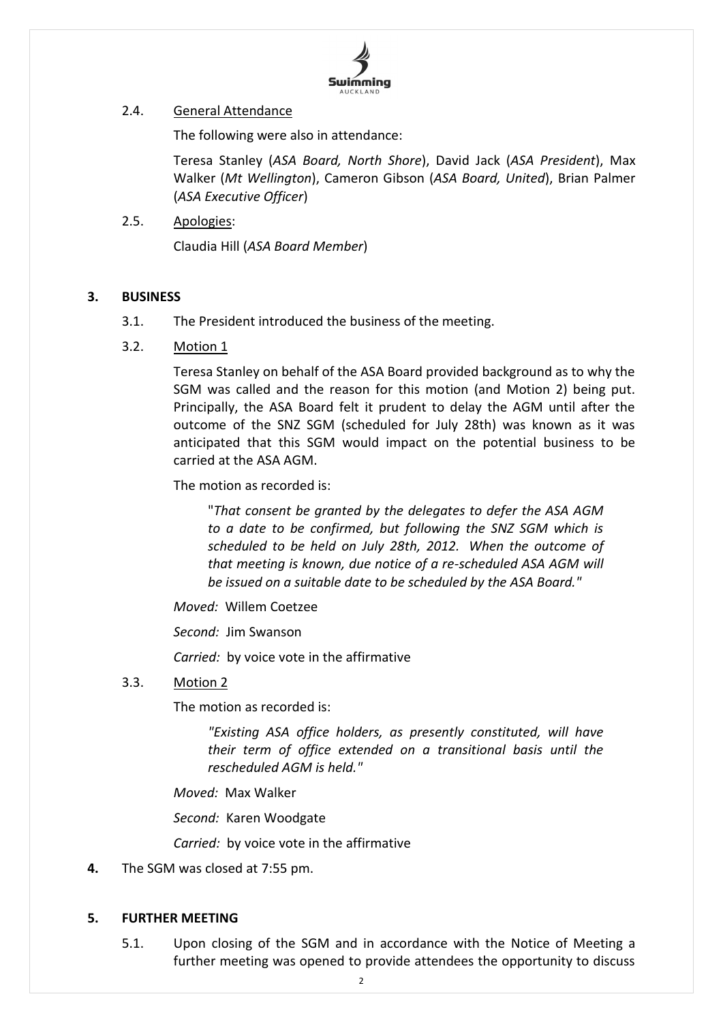

### 2.4. General Attendance

The following were also in attendance:

Teresa Stanley (*ASA Board, North Shore*), David Jack (*ASA President*), Max Walker (*Mt Wellington*), Cameron Gibson (*ASA Board, United*), Brian Palmer (*ASA Executive Officer*)

2.5. Apologies:

Claudia Hill (*ASA Board Member*)

## **3. BUSINESS**

- 3.1. The President introduced the business of the meeting.
- 3.2. Motion 1

Teresa Stanley on behalf of the ASA Board provided background as to why the SGM was called and the reason for this motion (and Motion 2) being put. Principally, the ASA Board felt it prudent to delay the AGM until after the outcome of the SNZ SGM (scheduled for July 28th) was known as it was anticipated that this SGM would impact on the potential business to be carried at the ASA AGM.

The motion as recorded is:

"*That consent be granted by the delegates to defer the ASA AGM to a date to be confirmed, but following the SNZ SGM which is scheduled to be held on July 28th, 2012. When the outcome of that meeting is known, due notice of a re-scheduled ASA AGM will be issued on a suitable date to be scheduled by the ASA Board."*

*Moved:* Willem Coetzee

*Second:* Jim Swanson

*Carried:* by voice vote in the affirmative

#### 3.3. Motion 2

The motion as recorded is:

*"Existing ASA office holders, as presently constituted, will have their term of office extended on a transitional basis until the rescheduled AGM is held."*

*Moved:* Max Walker

*Second:* Karen Woodgate

*Carried:* by voice vote in the affirmative

**4.** The SGM was closed at 7:55 pm.

#### **5. FURTHER MEETING**

5.1. Upon closing of the SGM and in accordance with the Notice of Meeting a further meeting was opened to provide attendees the opportunity to discuss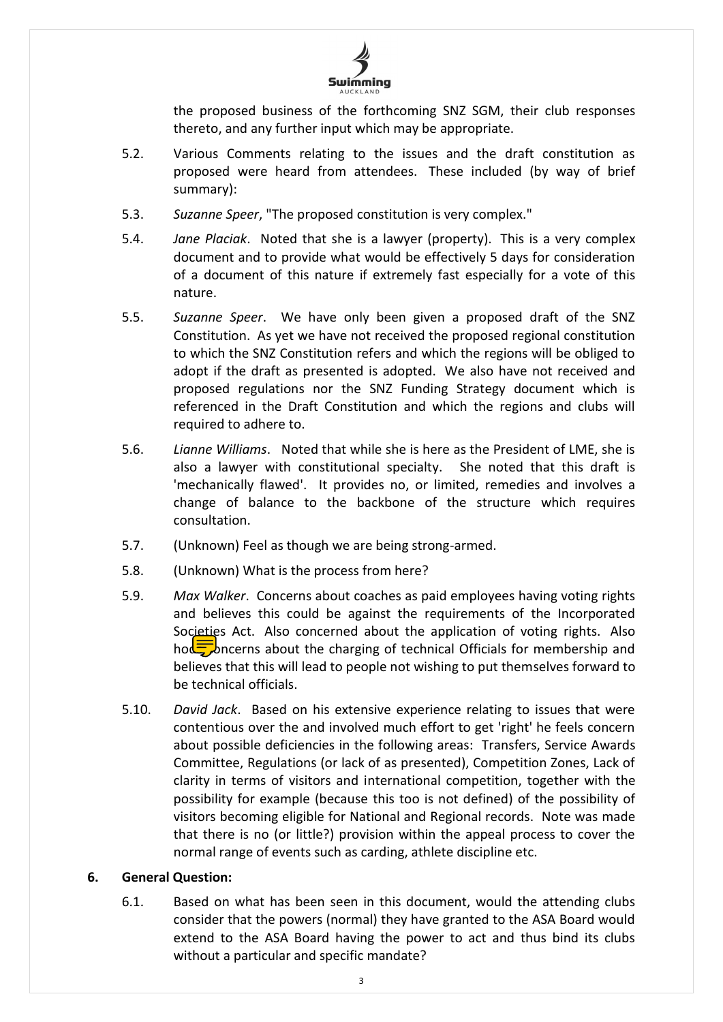

the proposed business of the forthcoming SNZ SGM, their club responses thereto, and any further input which may be appropriate.

- 5.2. Various Comments relating to the issues and the draft constitution as proposed were heard from attendees. These included (by way of brief summary):
- 5.3. *Suzanne Speer*, "The proposed constitution is very complex."
- 5.4. *Jane Placiak*. Noted that she is a lawyer (property). This is a very complex document and to provide what would be effectively 5 days for consideration of a document of this nature if extremely fast especially for a vote of this nature.
- 5.5. *Suzanne Speer*. We have only been given a proposed draft of the SNZ Constitution. As yet we have not received the proposed regional constitution to which the SNZ Constitution refers and which the regions will be obliged to adopt if the draft as presented is adopted. We also have not received and proposed regulations nor the SNZ Funding Strategy document which is referenced in the Draft Constitution and which the regions and clubs will required to adhere to.
- 5.6. *Lianne Williams*. Noted that while she is here as the President of LME, she is also a lawyer with constitutional specialty. She noted that this draft is 'mechanically flawed'. It provides no, or limited, remedies and involves a change of balance to the backbone of the structure which requires consultation.
- 5.7. (Unknown) Feel as though we are being strong-armed.
- 5.8. (Unknown) What is the process from here?
- 5.9. *Max Walker*. Concerns about coaches as paid employees having voting rights and believes this could be against the requirements of the Incorporated Societies Act. Also concerned about the application of voting rights. Also hod $\sqrt{\frac{1}{2}}$  hocerns about the charging of technical Officials for membership and believes that this will lead to people not wishing to put themselves forward to be technical officials.
- 5.10. *David Jack*. Based on his extensive experience relating to issues that were contentious over the and involved much effort to get 'right' he feels concern about possible deficiencies in the following areas: Transfers, Service Awards Committee, Regulations (or lack of as presented), Competition Zones, Lack of clarity in terms of visitors and international competition, together with the possibility for example (because this too is not defined) of the possibility of visitors becoming eligible for National and Regional records. Note was made that there is no (or little?) provision within the appeal process to cover the normal range of events such as carding, athlete discipline etc.

#### **6. General Question:**

6.1. Based on what has been seen in this document, would the attending clubs consider that the powers (normal) they have granted to the ASA Board would extend to the ASA Board having the power to act and thus bind its clubs without a particular and specific mandate?